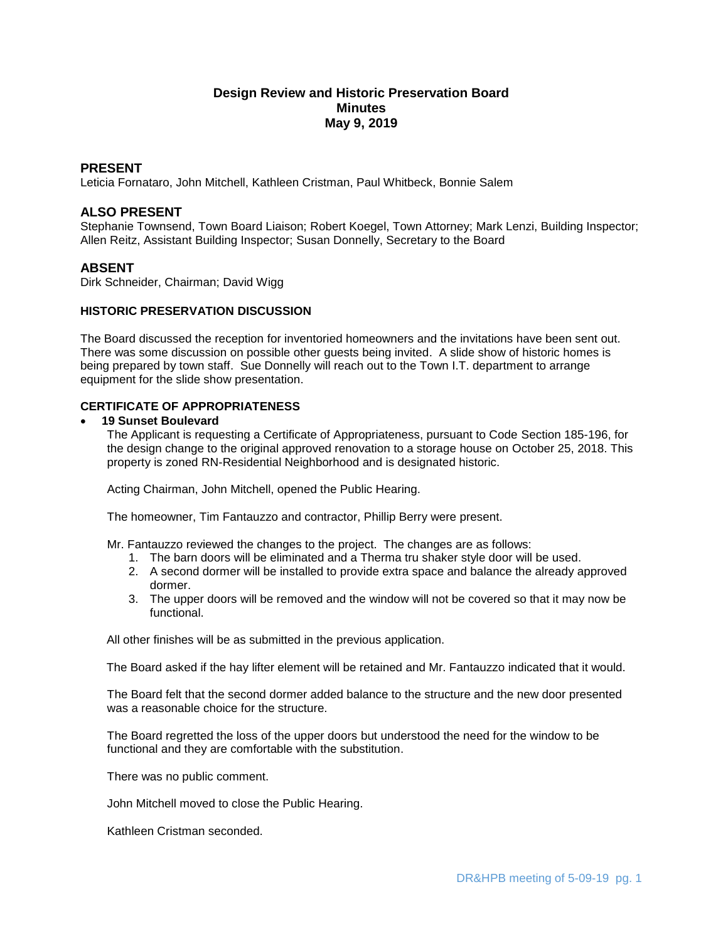# **Design Review and Historic Preservation Board Minutes May 9, 2019**

## **PRESENT**

Leticia Fornataro, John Mitchell, Kathleen Cristman, Paul Whitbeck, Bonnie Salem

## **ALSO PRESENT**

Stephanie Townsend, Town Board Liaison; Robert Koegel, Town Attorney; Mark Lenzi, Building Inspector; Allen Reitz, Assistant Building Inspector; Susan Donnelly, Secretary to the Board

## **ABSENT**

Dirk Schneider, Chairman; David Wigg

### **HISTORIC PRESERVATION DISCUSSION**

The Board discussed the reception for inventoried homeowners and the invitations have been sent out. There was some discussion on possible other guests being invited. A slide show of historic homes is being prepared by town staff. Sue Donnelly will reach out to the Town I.T. department to arrange equipment for the slide show presentation.

# **CERTIFICATE OF APPROPRIATENESS**

### **19 Sunset Boulevard**

The Applicant is requesting a Certificate of Appropriateness, pursuant to Code Section 185-196, for the design change to the original approved renovation to a storage house on October 25, 2018. This property is zoned RN-Residential Neighborhood and is designated historic.

Acting Chairman, John Mitchell, opened the Public Hearing.

The homeowner, Tim Fantauzzo and contractor, Phillip Berry were present.

Mr. Fantauzzo reviewed the changes to the project. The changes are as follows:

- 1. The barn doors will be eliminated and a Therma tru shaker style door will be used.
- 2. A second dormer will be installed to provide extra space and balance the already approved dormer.
- 3. The upper doors will be removed and the window will not be covered so that it may now be functional.

All other finishes will be as submitted in the previous application.

The Board asked if the hay lifter element will be retained and Mr. Fantauzzo indicated that it would.

The Board felt that the second dormer added balance to the structure and the new door presented was a reasonable choice for the structure.

The Board regretted the loss of the upper doors but understood the need for the window to be functional and they are comfortable with the substitution.

There was no public comment.

John Mitchell moved to close the Public Hearing.

Kathleen Cristman seconded.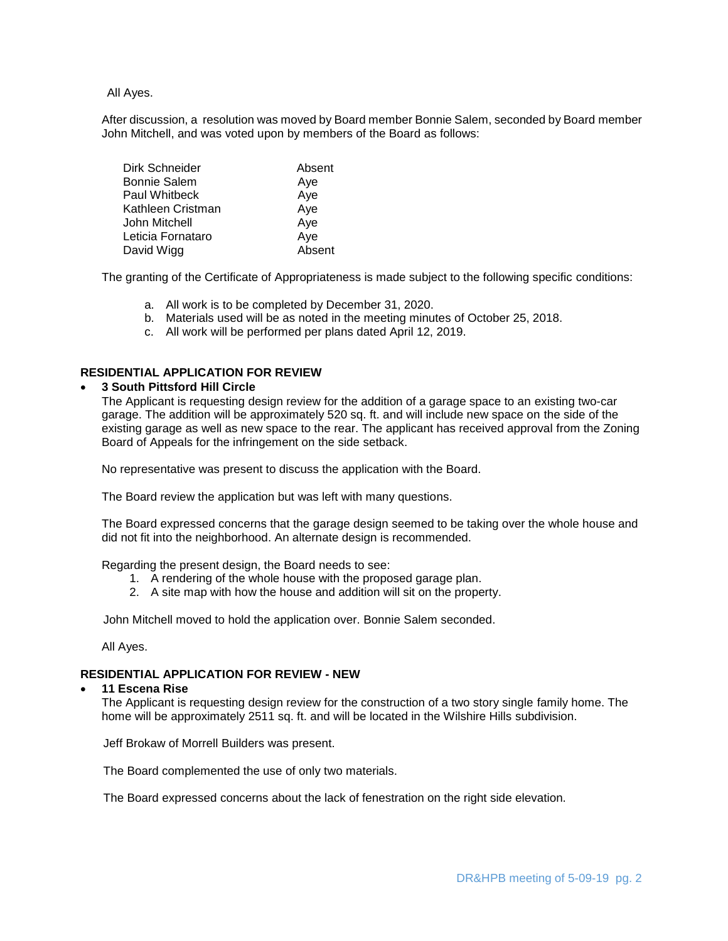All Ayes.

After discussion, a resolution was moved by Board member Bonnie Salem, seconded by Board member John Mitchell, and was voted upon by members of the Board as follows:

| Dirk Schneider    | Absent |
|-------------------|--------|
| Bonnie Salem      | Aye    |
| Paul Whitbeck     | Aye    |
| Kathleen Cristman | Aye    |
| John Mitchell     | Aye    |
| Leticia Fornataro | Aye    |
| David Wigg        | Absent |

The granting of the Certificate of Appropriateness is made subject to the following specific conditions:

- a. All work is to be completed by December 31, 2020.
- b. Materials used will be as noted in the meeting minutes of October 25, 2018.
- c. All work will be performed per plans dated April 12, 2019.

# **RESIDENTIAL APPLICATION FOR REVIEW**

### **3 South Pittsford Hill Circle**

The Applicant is requesting design review for the addition of a garage space to an existing two-car garage. The addition will be approximately 520 sq. ft. and will include new space on the side of the existing garage as well as new space to the rear. The applicant has received approval from the Zoning Board of Appeals for the infringement on the side setback.

No representative was present to discuss the application with the Board.

The Board review the application but was left with many questions.

The Board expressed concerns that the garage design seemed to be taking over the whole house and did not fit into the neighborhood. An alternate design is recommended.

Regarding the present design, the Board needs to see:

- 1. A rendering of the whole house with the proposed garage plan.
- 2. A site map with how the house and addition will sit on the property.

John Mitchell moved to hold the application over. Bonnie Salem seconded.

All Ayes.

#### **RESIDENTIAL APPLICATION FOR REVIEW - NEW**

#### **11 Escena Rise**

The Applicant is requesting design review for the construction of a two story single family home. The home will be approximately 2511 sq. ft. and will be located in the Wilshire Hills subdivision.

Jeff Brokaw of Morrell Builders was present.

The Board complemented the use of only two materials.

The Board expressed concerns about the lack of fenestration on the right side elevation.